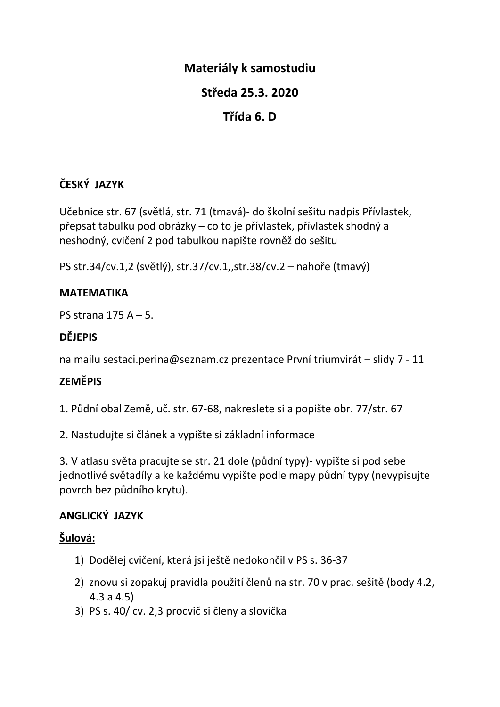## **Materiály k samostudiu**

## **Středa 25.3. 2020**

# **Třída 6. D**

## **ČESKÝ JAZYK**

Učebnice str. 67 (světlá, str. 71 (tmavá)- do školní sešitu nadpis Přívlastek, přepsat tabulku pod obrázky – co to je přívlastek, přívlastek shodný a neshodný, cvičení 2 pod tabulkou napište rovněž do sešitu

PS str.34/cv.1,2 (světlý), str.37/cv.1,,str.38/cv.2 – nahoře (tmavý)

#### **MATEMATIKA**

PS strana 175 A – 5.

### **DĚJEPIS**

na mailu sestaci.perina@seznam.cz prezentace První triumvirát – slidy 7 - 11

## **ZEMĚPIS**

1. Půdní obal Země, uč. str. 67-68, nakreslete si a popište obr. 77/str. 67

2. Nastudujte si článek a vypište si základní informace

3. V atlasu světa pracujte se str. 21 dole (půdní typy)- vypište si pod sebe jednotlivé světadíly a ke každému vypište podle mapy půdní typy (nevypisujte povrch bez půdního krytu).

### **ANGLICKÝ JAZYK**

### **Šulová:**

- 1) Dodělej cvičení, která jsi ještě nedokončil v PS s. 36-37
- 2) znovu si zopakuj pravidla použití členů na str. 70 v prac. sešitě (body 4.2, 4.3 a 4.5)
- 3) PS s. 40/ cv. 2,3 procvič si členy a slovíčka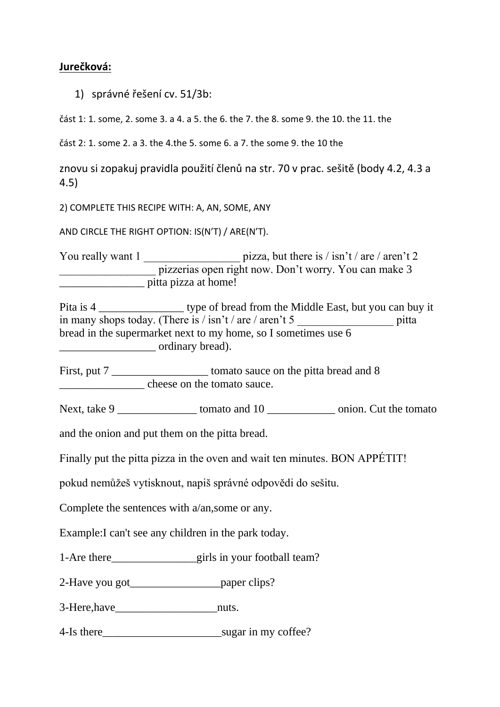#### Jurečková:

1) správné řešení cv. 51/3b:

část 1: 1. some, 2. some 3. a 4. a 5. the 6. the 7. the 8. some 9. the 10. the 11. the

část 2: 1. some 2. a 3. the 4. the 5. some 6. a 7. the some 9. the 10 the

znovu si zopakuj pravidla použití členů na str. 70 v prac. sešitě (body 4.2, 4.3 a  $4.5)$ 

2) COMPLETE THIS RECIPE WITH: A, AN, SOME, ANY

AND CIRCLE THE RIGHT OPTION: IS(N'T) / ARE(N'T).

You really want 1 \_\_\_\_\_\_\_\_\_\_\_\_\_\_\_\_\_\_\_\_\_\_\_\_ pizza, but there is / isn't / are / aren't 2 pizzerias open right now. Don't worry. You can make 3 pitta pizza at home!

Pita is 4 \_\_\_\_\_\_\_\_\_\_\_\_\_\_\_\_\_\_\_\_\_ type of bread from the Middle East, but you can buy it in many shops today. (There is  $/$  isn't  $/$  are  $/$  aren't 5 pitta bread in the supermarket next to my home, so I sometimes use 6 ordinary bread).

cheese on the tomato sauce.

Next, take 9 tomato and 10 onion. Cut the tomato

and the onion and put them on the pitta bread.

Finally put the pitta pizza in the oven and wait ten minutes. BON APPÉTIT!

pokud nemůžeš vytisknout, napiš správné odpovědi do sešitu.

Complete the sentences with  $a/an$ , some or any.

Example: I can't see any children in the park today.

1-Are there girls in your football team?

2-Have you got<br>
<u>paper</u> clips?

3-Here, have nuts.